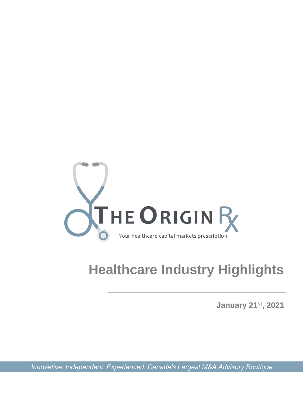

# **Healthcare Industry Highlights**

**January 21st , 2021**

*Innovative. Independent. Experienced. Canada's Largest M&A Advisory Boutique*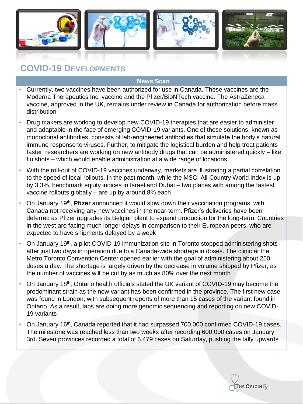

### **COVID-19 DEVELOPMENTS**

- Currently, two vaccines have been authorized for use in Canada. These vaccines are the Moderna Therapeutics Inc. vaccine and the Pfizer/BioNTech vaccine. The AstraZeneca vaccine, approved in the UK, remains under review in Canada for authorization before mass distribution
- Drug makers are working to develop new COVID-19 therapies that are easier to administer, and adaptable in the face of emerging COVID-19 variants. One of these solutions, known as monoclonal antibodies, consists of lab-engineered antibodies that simulate the body's natural immune response to viruses. Further, to mitigate the logistical burden and help treat patients faster, researchers are working on new antibody drugs that can be administered quickly – like flu shots – which would enable administration at a wide range of locations
- With the roll-out of COVID-19 vaccines underway, markets are illustrating a partial correlation to the speed of local rollouts. In the past month, while the MSCI All Country World Index is up by 3.3%, benchmark equity indices in Israel and Dubai – two places with among the fastest vaccine rollouts globally – are up by around 8% each
- On January 19<sup>th</sup>, **Pfizer** announced it would slow down their vaccination programs, with Canada not receiving any new vaccines in the near-term. Pfizer's deliveries have been deferred as Pfizer upgrades its Belgian plant to expand production for the long-term. Countries in the west are facing much longer delays in comparison to their European peers, who are expected to have shipments delayed by a week
- On January 19th, a pilot COVID-19 immunization site in Toronto stopped administering shots after just two days in operation due to a Canada-wide shortage in doses. The clinic at the Metro Toronto Convention Center opened earlier with the goal of administering about 250 doses a day. The shortage is largely driven by the decrease in volume shipped by Pfizer, as the number of vaccines will be cut by as much as 80% over the next month
- On January 18<sup>th</sup>, Ontario health officials stated the UK variant of COVID-19 may become the predominant strain as the new variant has been confirmed in the province. The first new case was found in London, with subsequent reports of more than 15 cases of the variant found in Ontario. As a result, labs are doing more genomic sequencing and reporting on new COVID-19 variants
- On January 16th, Canada reported that it had surpassed 700,000 confirmed COVID-19 cases. The milestone was reached less than two weeks after recording 600,000 cases on January 3rd. Seven provinces recorded a total of 6,479 cases on Saturday, pushing the tally upwards

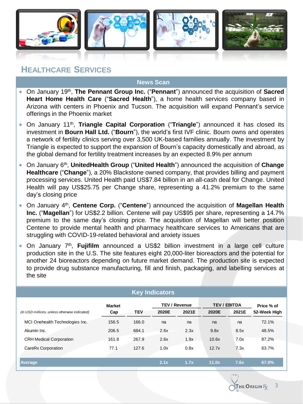

### **HEALTHCARE SERVICES**

- **•** On January 19<sup>th</sup>, The Pennant Group Inc. ("Pennant") announced the acquisition of Sacred **Heart Home Health Care** ("**Sacred Health**"), a home health services company based in Arizona with centers in Phoenix and Tucson. The acquisition will expand Pennant's service offerings in the Phoenix market
- **•** On January 11<sup>th</sup>, Triangle Capital Corporation ("Triangle") announced it has closed its investment in **Bourn Hall Ltd.** ("**Bourn**"), the world's first IVF clinic. Bourn owns and operates a network of fertility clinics serving over 3,500 UK-based families annually. The investment by Triangle is expected to support the expansion of Bourn's capacity domestically and abroad, as the global demand for fertility treatment increases by an expected 8.9% per annum
- **•** On January 6<sup>th</sup>, UnitedHealth Group ("United Health") announced the acquisition of Change **Healthcare** ("**Change**"), a 20% Blackstone owned company, that provides billing and payment processing services. United Health paid US\$7.84 billion in an all-cash deal for Change. United Health will pay US\$25.75 per Change share, representing a 41.2% premium to the same day's closing price
- **•** On January 4<sup>th</sup>, Centene Corp. ("Centene") announced the acquisition of Magellan Health **Inc.** ("**Magellan**") for US\$2.2 billion. Centene will pay US\$95 per share, representing a 14.7% premium to the same day's closing price. The acquisition of Magellan will better position Centene to provide mental health and pharmacy healthcare services to Americans that are struggling with COVID-19-related behavioral and anxiety issues
- On January 7<sup>th</sup>, Fujifilm announced a US\$2 billion investment in a large cell culture production site in the U.S. The site features eight 20,000-liter bioreactors and the potential for another 24 bioreactors depending on future market demand. The production site is expected to provide drug substance manufacturing, fill and finish, packaging, and labelling services at the site

| <b>Key Indicators</b>                         |               |            |                      |       |                     |       |              |  |
|-----------------------------------------------|---------------|------------|----------------------|-------|---------------------|-------|--------------|--|
|                                               | <b>Market</b> |            | <b>TEV / Revenue</b> |       | <b>TEV / EBITDA</b> |       | Price % of   |  |
| (in USD millions, unless otherwise indicated) | Cap           | <b>TEV</b> | 2020E                | 2021E | 2020E               | 2021E | 52-Week High |  |
| MCI Onehealth Technologies Inc.               | 156.5         | 166.0      | na                   | na    | na                  | na    | 72.1%        |  |
| Akumin Inc.                                   | 206.5         | 684.1      | 2.6x                 | 2.3x  | 9.8x                | 8.5x  | 48.5%        |  |
| <b>CRH Medical Corporation</b>                | 161.8         | 267.9      | 2.6x                 | 1.9x  | 10.6x               | 7.0x  | 87.2%        |  |
| CareRx Corporation                            | 77.1          | 127.6      | 1.0x                 | 0.8x  | 12.7x               | 7.3x  | 63.7%        |  |
|                                               |               |            |                      |       |                     |       |              |  |
| Average                                       |               |            | 2.1x                 | 1.7x  | 11.0x               | 7.6x  | 67.9%        |  |

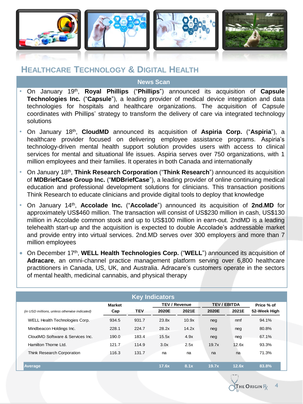

### **HEALTHCARE TECHNOLOGY & DIGITAL HEALTH**

- **•** On January 19<sup>th</sup>, **Royal Phillips** ("**Phillips**") announced its acquisition of **Capsule Technologies Inc.** ("**Capsule**"), a leading provider of medical device integration and data technologies for hospitals and healthcare organizations. The acquisition of Capsule coordinates with Phillips' strategy to transform the delivery of care via integrated technology solutions
- On January 18th , **CloudMD** announced its acquisition of **Aspiria Corp.** ("**Aspiria**"), a healthcare provider focused on delivering employee assistance programs. Aspiria's technology-driven mental health support solution provides users with access to clinical services for mental and situational life issues. Aspiria serves over 750 organizations, with 1 million employees and their families. It operates in both Canada and internationally
- On January 18th , **Think Research Corporation** ("**Think Research**") announced its acquisition of **MDBriefCase Group Inc.** ("**MDBriefCase**"), a leading provider of online continuing medical education and professional development solutions for clinicians. This transaction positions Think Research to educate clinicians and provide digital tools to deploy that knowledge
- On January 14th , **Accolade Inc.** ("**Accolade**") announced its acquisition of **2nd.MD** for approximately US\$460 million. The transaction will consist of US\$230 million in cash, US\$130 million in Accolade common stock and up to US\$100 million in earn-out. 2ndMD is a leading telehealth start-up and the acquisition is expected to double Accolade's addressable market and provide entry into virtual services. 2nd.MD serves over 300 employers and more than 7 million employees
- On December 17th , **WELL Health Technologies Corp.** ("**WELL**") announced its acquisition of **Adracare**, an omni-channel practice management platform serving over 6,800 healthcare practitioners in Canada, US, UK, and Australia. Adracare's customers operate in the sectors of mental health, medicinal cannabis, and physical therapy

| <b>Key Indicators</b>                         |               |            |                      |       |                     |       |              |  |
|-----------------------------------------------|---------------|------------|----------------------|-------|---------------------|-------|--------------|--|
|                                               | <b>Market</b> |            | <b>TEV / Revenue</b> |       | <b>TEV / EBITDA</b> |       | Price % of   |  |
| (in USD millions, unless otherwise indicated) | Cap           | <b>TEV</b> | 2020E                | 2021E | 2020E               | 2021E | 52-Week High |  |
| WELL Health Technologies Corp.                | 934.5         | 931.7      | 23.8x                | 10.9x | neg                 | nmf   | 94.1%        |  |
| Mindbeacon Holdings Inc.                      | 228.1         | 224.7      | 28.2x                | 14.2x | neg                 | neg   | 80.8%        |  |
| CloudMD Software & Services Inc.              | 190.0         | 183.4      | 15.5x                | 4.9x  | neg                 | neg   | 67.1%        |  |
| Hamilton Thorne Ltd.                          | 121.7         | 114.9      | 3.0x                 | 2.5x  | 19.7x               | 12.6x | 93.3%        |  |
| Think Research Corporation                    | 116.3         | 131.7      | na                   | na    | na                  | na    | 71.3%        |  |
| Average                                       |               |            | 17.6x                | 8.1x  | 19.7x               | 12.6x | 83.8%        |  |

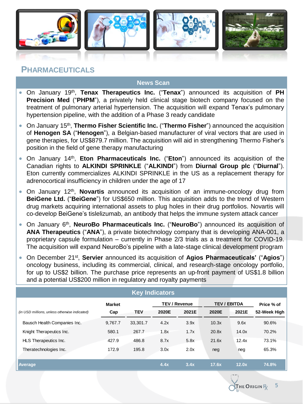

### **PHARMACEUTICALS**

- On January 19th , **Tenax Therapeutics Inc.** ("**Tenax**") announced its acquisition of **PH Precision Med** ("**PHPM**"), a privately held clinical stage biotech company focused on the treatment of pulmonary arterial hypertension. The acquisition will expand Tenax's pulmonary hypertension pipeline, with the addition of a Phase 3 ready candidate
- On January 15th , **Thermo Fisher Scientific Inc.** ("**Thermo Fisher**") announced the acquisition of **Henogen SA** ("**Henogen**"), a Belgian-based manufacturer of viral vectors that are used in gene therapies, for US\$879.7 million. The acquisition will aid in strengthening Thermo Fisher's position in the field of gene therapy manufacturing
- On January 14th , **Eton Pharmaceuticals Inc.** ("**Eton**") announced its acquisition of the Canadian rights to **ALKINDI SPRINKLE** ("**ALKINDI**") from **Diurnal Group plc** ("**Diurnal**"). Eton currently commercializes ALKINDI SPRINKLE in the US as a replacement therapy for adrenocortical insufficiency in children under the age of 17
- On January 12<sup>th</sup>, **Novartis** announced its acquisition of an immune-oncology drug from **BeiGene Ltd.** ("**BeiGene**") for US\$650 million. This acquisition adds to the trend of Western drug markets acquiring international assets to plug holes in their drug portfolios. Novartis will co-develop BeiGene's tislelizumab, an antibody that helps the immune system attack cancer
- On January 6<sup>th</sup>, NeuroBo Pharmaceuticals Inc. ("NeuroBo") announced its acquisition of **ANA Therapeutics** ("**ANA**"), a private biotechnology company that is developing ANA-001, a proprietary capsule formulation – currently in Phase 2/3 trials as a treatment for COVID-19. The acquisition will expand NeuroBo's pipeline with a late-stage clinical development program
- On December 21st , **Servier** announced its acquisition of **Agios Pharmaceuticals'** ("**Agios**") oncology business, including its commercial, clinical, and research-stage oncology portfolio, for up to US\$2 billion. The purchase price represents an up-front payment of US\$1.8 billion and a potential US\$200 million in regulatory and royalty payments

| <b>Key Indicators</b>                         |               |            |                      |       |                     |       |              |  |  |
|-----------------------------------------------|---------------|------------|----------------------|-------|---------------------|-------|--------------|--|--|
|                                               | <b>Market</b> |            | <b>TEV / Revenue</b> |       | <b>TEV / EBITDA</b> |       | Price % of   |  |  |
| (in USD millions, unless otherwise indicated) | Cap           | <b>TEV</b> | 2020E                | 2021E | 2020E               | 2021E | 52-Week High |  |  |
| Bausch Health Companies Inc.                  | 9,767.7       | 33,301.7   | 4.2x                 | 3.9x  | 10.3x               | 9.6x  | 90.6%        |  |  |
| Knight Therapeutics Inc.                      | 580.1         | 267.7      | 1.8x                 | 1.7x  | 20.8x               | 14.0x | 70.2%        |  |  |
| HLS Therapeutics Inc.                         | 427.9         | 486.8      | 8.7x                 | 5.8x  | 21.6x               | 12.4x | 73.1%        |  |  |
| Theratechnologies Inc.                        | 172.9         | 195.8      | 3.0x                 | 2.0x  | neg                 | neg   | 65.3%        |  |  |
|                                               |               |            |                      |       |                     |       |              |  |  |
| <b>Average</b>                                |               |            | 4.4x                 | 3.4x  | 17.6x               | 12.0x | 74.8%        |  |  |

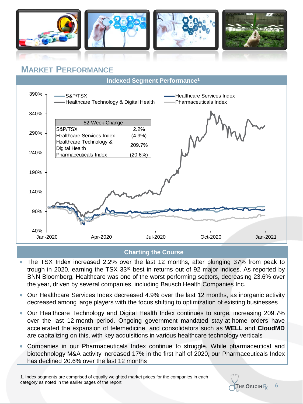

### **MARKET PERFORMANCE**



#### **Charting the Course**

- The TSX Index increased 2.2% over the last 12 months, after plunging 37% from peak to trough in 2020, earning the TSX 33rd best in returns out of 92 major indices. As reported by BNN Bloomberg, Healthcare was one of the worst performing sectors, decreasing 23.6% over the year, driven by several companies, including Bausch Health Companies Inc.
- Our Healthcare Services Index decreased 4.9% over the last 12 months, as inorganic activity decreased among large players with the focus shifting to optimization of existing businesses
- Our Healthcare Technology and Digital Health Index continues to surge, increasing 209.7% over the last 12-month period. Ongoing government mandated stay-at-home orders have accelerated the expansion of telemedicine, and consolidators such as **WELL** and **CloudMD** are capitalizing on this, with key acquisitions in various healthcare technology verticals
- Companies in our Pharmaceuticals Index continue to struggle. While pharmaceutical and biotechnology M&A activity increased 17% in the first half of 2020, our Pharmaceuticals Index has declined 20.6% over the last 12 months

1. Index segments are comprised of equally weighted market prices for the companies in each category as noted in the earlier pages of the report